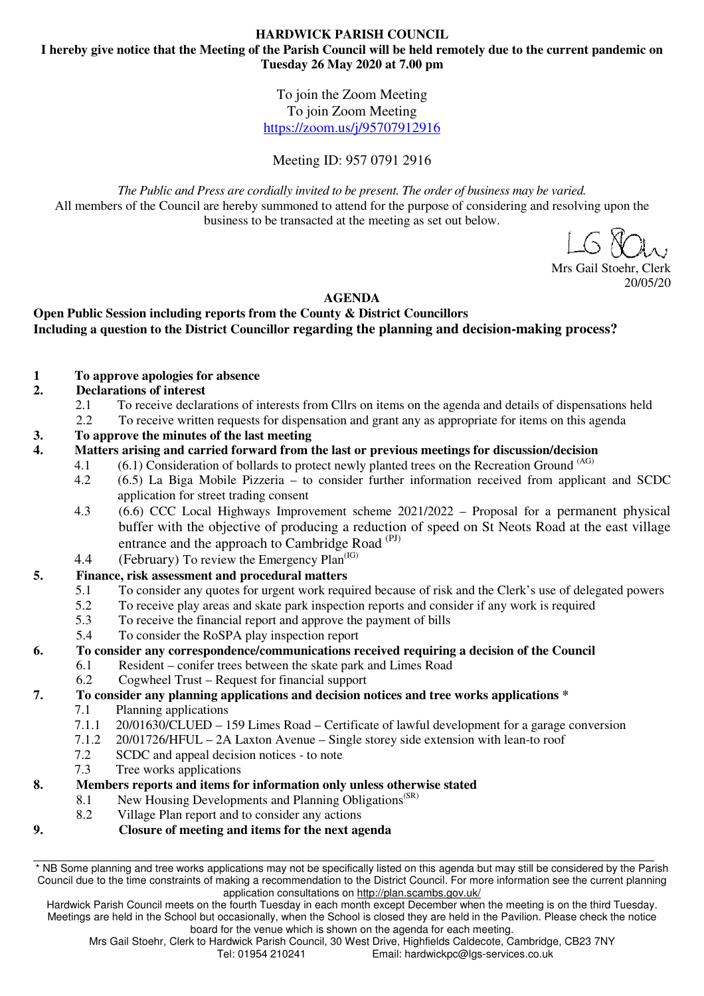To join the Zoom Meeting To join Zoom Meeting https://zoom.us/j/95707912916

Meeting ID: 957 0791 2916

*The Public and Press are cordially invited to be present. The order of business may be varied.*  All members of the Council are hereby summoned to attend for the purpose of considering and resolving upon the business to be transacted at the meeting as set out below.

Mrs Gail Stoehr, Clerk 20/05/20

# **AGENDA**

# **Open Public Session including reports from the County & District Councillors Including a question to the District Councillor regarding the planning and decision-making process?**

## **1 To approve apologies for absence**

## **2. Declarations of interest**

- 2.1 To receive declarations of interests from Cllrs on items on the agenda and details of dispensations held
- 2.2 To receive written requests for dispensation and grant any as appropriate for items on this agenda
- **3. To approve the minutes of the last meeting**
- **4. Matters arising and carried forward from the last or previous meetings for discussion/decision** 
	- 4.1  $(6.1)$  Consideration of bollards to protect newly planted trees on the Recreation Ground  $(AG)$ 
		- 4.2 (6.5) La Biga Mobile Pizzeria to consider further information received from applicant and SCDC application for street trading consent
		- 4.3 (6.6) CCC Local Highways Improvement scheme 2021/2022 Proposal for a permanent physical buffer with the objective of producing a reduction of speed on St Neots Road at the east village entrance and the approach to Cambridge Road<sup>(PJ)</sup>
		- 4.4 (February) To review the Emergency Plan $<sup>(IG)</sup>$ </sup>

# **5. Finance, risk assessment and procedural matters**

- 5.1 To consider any quotes for urgent work required because of risk and the Clerk's use of delegated powers
- 5.2 To receive play areas and skate park inspection reports and consider if any work is required
- 5.3 To receive the financial report and approve the payment of bills
- 5.4 To consider the RoSPA play inspection report

## **6. To consider any correspondence/communications received requiring a decision of the Council**

- 6.1 Resident conifer trees between the skate park and Limes Road
- 6.2 Cogwheel Trust Request for financial support

## **7. To consider any planning applications and decision notices and tree works applications \***

- 7.1 Planning applications
- 7.1.1 20/01630/CLUED 159 Limes Road Certificate of lawful development for a garage conversion
- 7.1.2 20/01726/HFUL 2A Laxton Avenue Single storey side extension with lean-to roof
- 7.2 SCDC and appeal decision notices to note
- 7.3 Tree works applications

## **8. Members reports and items for information only unless otherwise stated**

- 8.1 New Housing Developments and Planning Obligations<sup>(SR)</sup>
- 8.2 Village Plan report and to consider any actions
- **9. Closure of meeting and items for the next agenda**

Hardwick Parish Council meets on the fourth Tuesday in each month except December when the meeting is on the third Tuesday. Meetings are held in the School but occasionally, when the School is closed they are held in the Pavilion. Please check the notice board for the venue which is shown on the agenda for each meeting.

Mrs Gail Stoehr, Clerk to Hardwick Parish Council, 30 West Drive, Highfields Caldecote, Cambridge, CB23 7NY<br>Email: hardwickpc@lgs-services.co.uk Email: hardwickpc@lgs-services.co.uk

<sup>\*</sup> NB Some planning and tree works applications may not be specifically listed on this agenda but may still be considered by the Parish Council due to the time constraints of making a recommendation to the District Council. For more information see the current planning application consultations on http://plan.scambs.gov.uk/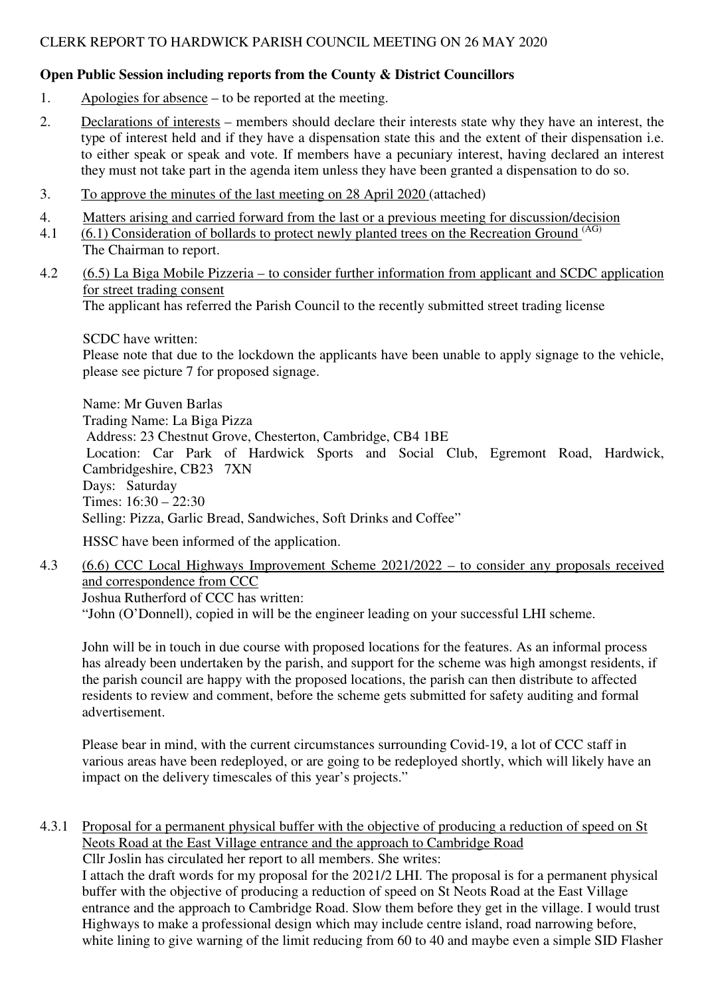# **Open Public Session including reports from the County & District Councillors**

- 1. Apologies for absence to be reported at the meeting.
- 2. Declarations of interests members should declare their interests state why they have an interest, the type of interest held and if they have a dispensation state this and the extent of their dispensation i.e. to either speak or speak and vote. If members have a pecuniary interest, having declared an interest they must not take part in the agenda item unless they have been granted a dispensation to do so.
- 3. To approve the minutes of the last meeting on 28 April 2020 (attached)
- 4. Matters arising and carried forward from the last or a previous meeting for discussion/decision
- 4.1 (6.1) Consideration of bollards to protect newly planted trees on the Recreation Ground (AG) The Chairman to report.
- 4.2 (6.5) La Biga Mobile Pizzeria to consider further information from applicant and SCDC application for street trading consent The applicant has referred the Parish Council to the recently submitted street trading license

SCDC have written:

Please note that due to the lockdown the applicants have been unable to apply signage to the vehicle, please see picture 7 for proposed signage.

Name: Mr Guven Barlas Trading Name: La Biga Pizza Address: 23 Chestnut Grove, Chesterton, Cambridge, CB4 1BE Location: Car Park of Hardwick Sports and Social Club, Egremont Road, Hardwick, Cambridgeshire, CB23 7XN Days: Saturday Times: 16:30 – 22:30 Selling: Pizza, Garlic Bread, Sandwiches, Soft Drinks and Coffee"

HSSC have been informed of the application.

4.3 (6.6) CCC Local Highways Improvement Scheme 2021/2022 – to consider any proposals received and correspondence from CCC

Joshua Rutherford of CCC has written: "John (O'Donnell), copied in will be the engineer leading on your successful LHI scheme.

John will be in touch in due course with proposed locations for the features. As an informal process has already been undertaken by the parish, and support for the scheme was high amongst residents, if the parish council are happy with the proposed locations, the parish can then distribute to affected residents to review and comment, before the scheme gets submitted for safety auditing and formal advertisement.

Please bear in mind, with the current circumstances surrounding Covid-19, a lot of CCC staff in various areas have been redeployed, or are going to be redeployed shortly, which will likely have an impact on the delivery timescales of this year's projects."

4.3.1 Proposal for a permanent physical buffer with the objective of producing a reduction of speed on St Neots Road at the East Village entrance and the approach to Cambridge Road

Cllr Joslin has circulated her report to all members. She writes:

I attach the draft words for my proposal for the 2021/2 LHI. The proposal is for a permanent physical buffer with the objective of producing a reduction of speed on St Neots Road at the East Village entrance and the approach to Cambridge Road. Slow them before they get in the village. I would trust Highways to make a professional design which may include centre island, road narrowing before, white lining to give warning of the limit reducing from 60 to 40 and maybe even a simple SID Flasher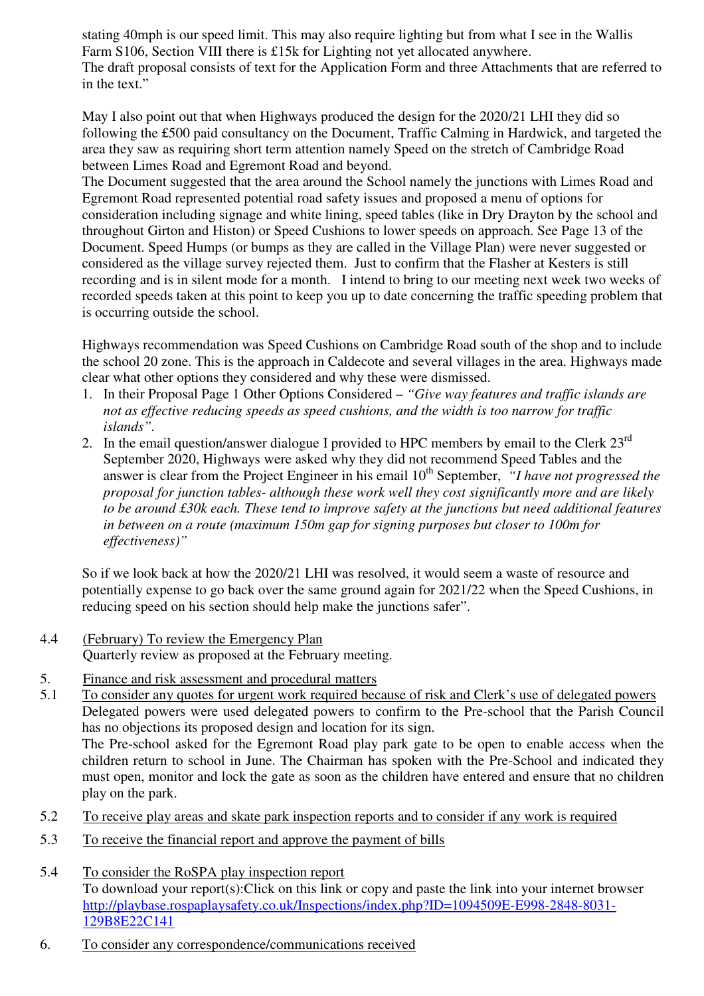stating 40mph is our speed limit. This may also require lighting but from what I see in the Wallis Farm S106, Section VIII there is £15k for Lighting not yet allocated anywhere. The draft proposal consists of text for the Application Form and three Attachments that are referred to in the text."

May I also point out that when Highways produced the design for the 2020/21 LHI they did so following the £500 paid consultancy on the Document, Traffic Calming in Hardwick, and targeted the area they saw as requiring short term attention namely Speed on the stretch of Cambridge Road between Limes Road and Egremont Road and beyond.

The Document suggested that the area around the School namely the junctions with Limes Road and Egremont Road represented potential road safety issues and proposed a menu of options for consideration including signage and white lining, speed tables (like in Dry Drayton by the school and throughout Girton and Histon) or Speed Cushions to lower speeds on approach. See Page 13 of the Document. Speed Humps (or bumps as they are called in the Village Plan) were never suggested or considered as the village survey rejected them. Just to confirm that the Flasher at Kesters is still recording and is in silent mode for a month. I intend to bring to our meeting next week two weeks of recorded speeds taken at this point to keep you up to date concerning the traffic speeding problem that is occurring outside the school.

Highways recommendation was Speed Cushions on Cambridge Road south of the shop and to include the school 20 zone. This is the approach in Caldecote and several villages in the area. Highways made clear what other options they considered and why these were dismissed.

- 1. In their Proposal Page 1 Other Options Considered *"Give way features and traffic islands are not as effective reducing speeds as speed cushions, and the width is too narrow for traffic islands".*
- 2. In the email question/answer dialogue I provided to HPC members by email to the Clerk  $23<sup>rd</sup>$ September 2020, Highways were asked why they did not recommend Speed Tables and the answer is clear from the Project Engineer in his email 10<sup>th</sup> September, *"I have not progressed the proposal for junction tables- although these work well they cost significantly more and are likely to be around £30k each. These tend to improve safety at the junctions but need additional features in between on a route (maximum 150m gap for signing purposes but closer to 100m for effectiveness)"*

So if we look back at how the 2020/21 LHI was resolved, it would seem a waste of resource and potentially expense to go back over the same ground again for 2021/22 when the Speed Cushions, in reducing speed on his section should help make the junctions safer".

- 4.4 (February) To review the Emergency Plan Quarterly review as proposed at the February meeting.
- 5. Finance and risk assessment and procedural matters

5.1 To consider any quotes for urgent work required because of risk and Clerk's use of delegated powers Delegated powers were used delegated powers to confirm to the Pre-school that the Parish Council has no objections its proposed design and location for its sign. The Pre-school asked for the Egremont Road play park gate to be open to enable access when the children return to school in June. The Chairman has spoken with the Pre-School and indicated they must open, monitor and lock the gate as soon as the children have entered and ensure that no children play on the park.

- 5.2 To receive play areas and skate park inspection reports and to consider if any work is required
- 5.3 To receive the financial report and approve the payment of bills
- 5.4 To consider the RoSPA play inspection report To download your report(s):Click on this link or copy and paste the link into your internet browser http://playbase.rospaplaysafety.co.uk/Inspections/index.php?ID=1094509E-E998-2848-8031- 129B8E22C141
- 6. To consider any correspondence/communications received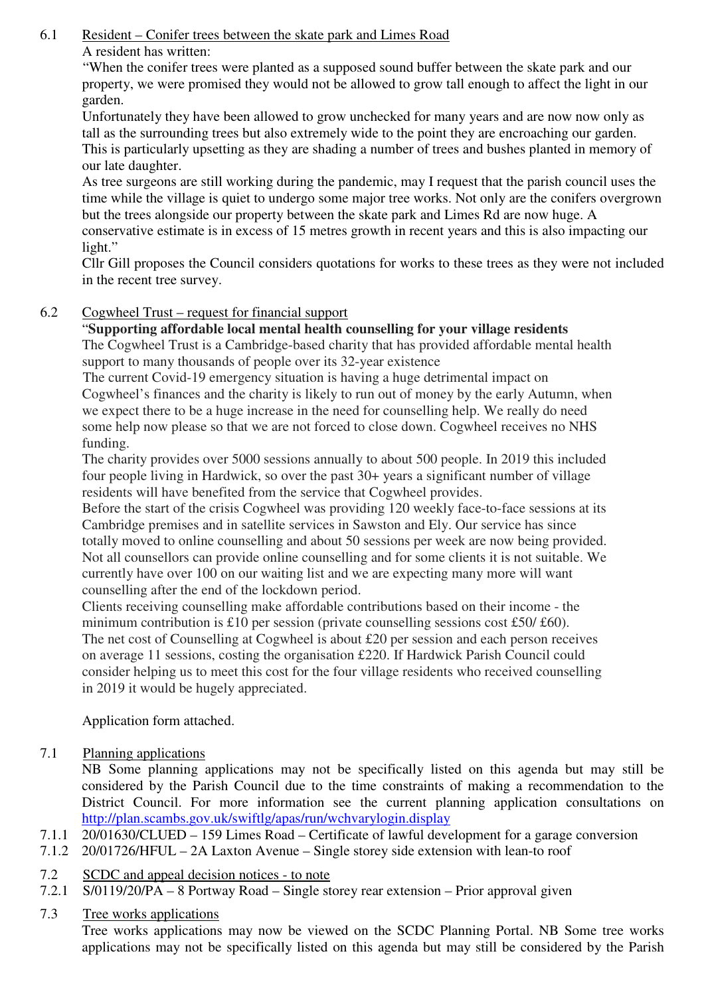6.1 Resident – Conifer trees between the skate park and Limes Road A resident has written:

> "When the conifer trees were planted as a supposed sound buffer between the skate park and our property, we were promised they would not be allowed to grow tall enough to affect the light in our garden.

> Unfortunately they have been allowed to grow unchecked for many years and are now now only as tall as the surrounding trees but also extremely wide to the point they are encroaching our garden. This is particularly upsetting as they are shading a number of trees and bushes planted in memory of our late daughter.

As tree surgeons are still working during the pandemic, may I request that the parish council uses the time while the village is quiet to undergo some major tree works. Not only are the conifers overgrown but the trees alongside our property between the skate park and Limes Rd are now huge. A conservative estimate is in excess of 15 metres growth in recent years and this is also impacting our light."

 Cllr Gill proposes the Council considers quotations for works to these trees as they were not included in the recent tree survey.

# 6.2 Cogwheel Trust – request for financial support

# "**Supporting affordable local mental health counselling for your village residents**

The Cogwheel Trust is a Cambridge-based charity that has provided affordable mental health support to many thousands of people over its 32-year existence

The current Covid-19 emergency situation is having a huge detrimental impact on Cogwheel's finances and the charity is likely to run out of money by the early Autumn, when we expect there to be a huge increase in the need for counselling help. We really do need some help now please so that we are not forced to close down. Cogwheel receives no NHS funding.

The charity provides over 5000 sessions annually to about 500 people. In 2019 this included four people living in Hardwick, so over the past 30+ years a significant number of village residents will have benefited from the service that Cogwheel provides.

Before the start of the crisis Cogwheel was providing 120 weekly face-to-face sessions at its Cambridge premises and in satellite services in Sawston and Ely. Our service has since totally moved to online counselling and about 50 sessions per week are now being provided. Not all counsellors can provide online counselling and for some clients it is not suitable. We currently have over 100 on our waiting list and we are expecting many more will want counselling after the end of the lockdown period.

Clients receiving counselling make affordable contributions based on their income - the minimum contribution is £10 per session (private counselling sessions cost £50/ £60). The net cost of Counselling at Cogwheel is about £20 per session and each person receives on average 11 sessions, costing the organisation £220. If Hardwick Parish Council could consider helping us to meet this cost for the four village residents who received counselling in 2019 it would be hugely appreciated.

Application form attached.

7.1 Planning applications

NB Some planning applications may not be specifically listed on this agenda but may still be considered by the Parish Council due to the time constraints of making a recommendation to the District Council. For more information see the current planning application consultations on http://plan.scambs.gov.uk/swiftlg/apas/run/wchvarylogin.display

- 7.1.1 20/01630/CLUED 159 Limes Road Certificate of lawful development for a garage conversion
- 7.1.2 20/01726/HFUL 2A Laxton Avenue Single storey side extension with lean-to roof
- 7.2 SCDC and appeal decision notices to note
- 7.2.1 S/0119/20/PA 8 Portway Road Single storey rear extension Prior approval given

# 7.3 Tree works applications

Tree works applications may now be viewed on the SCDC Planning Portal. NB Some tree works applications may not be specifically listed on this agenda but may still be considered by the Parish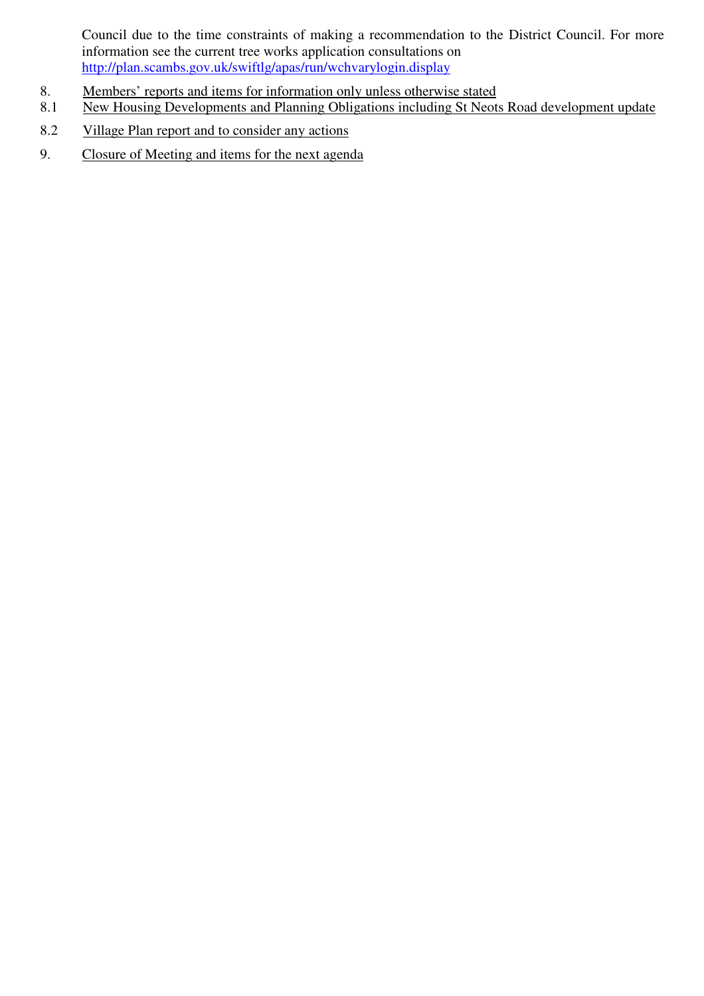Council due to the time constraints of making a recommendation to the District Council. For more information see the current tree works application consultations on http://plan.scambs.gov.uk/swiftlg/apas/run/wchvarylogin.display

- 8. Members' reports and items for information only unless otherwise stated
- 8.1 New Housing Developments and Planning Obligations including St Neots Road development update
- 8.2 Village Plan report and to consider any actions
- 9. Closure of Meeting and items for the next agenda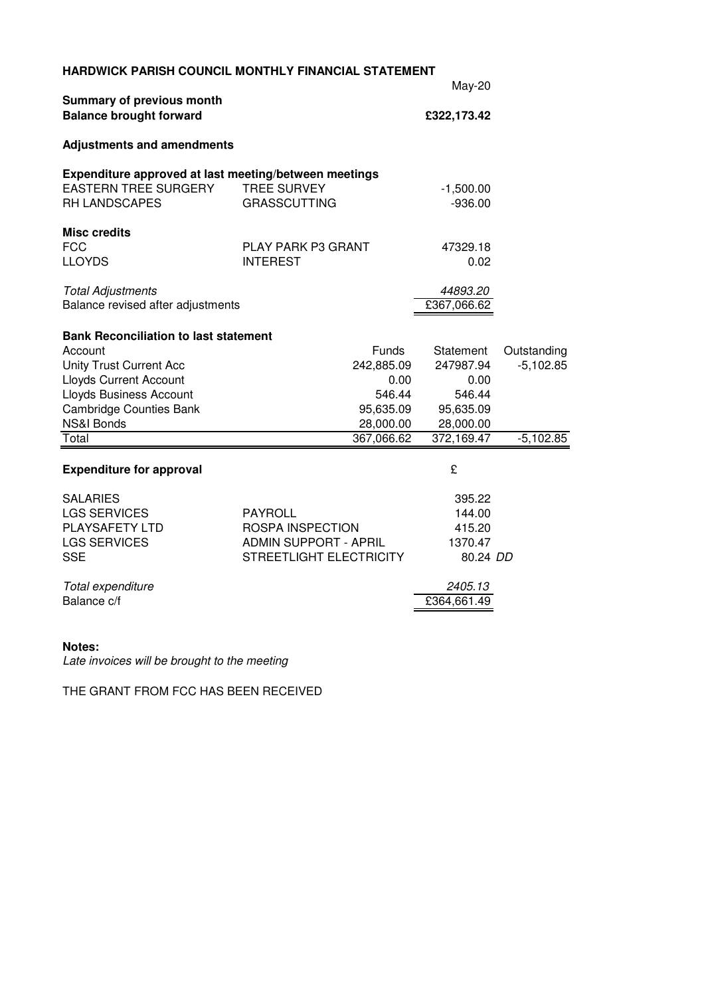|                                                                                                              | HARDWICK PARISH COUNCIL MONTHLY FINANCIAL STATEMENT | May-20                   |             |
|--------------------------------------------------------------------------------------------------------------|-----------------------------------------------------|--------------------------|-------------|
| Summary of previous month                                                                                    |                                                     |                          |             |
| <b>Balance brought forward</b>                                                                               |                                                     | £322,173.42              |             |
| <b>Adjustments and amendments</b>                                                                            |                                                     |                          |             |
| Expenditure approved at last meeting/between meetings<br><b>EASTERN TREE SURGERY</b><br><b>RH LANDSCAPES</b> | <b>TREE SURVEY</b><br><b>GRASSCUTTING</b>           | $-1,500.00$<br>$-936.00$ |             |
| <b>Misc credits</b><br><b>FCC</b><br><b>LLOYDS</b>                                                           | <b>PLAY PARK P3 GRANT</b><br><b>INTEREST</b>        | 47329.18<br>0.02         |             |
| <b>Total Adjustments</b><br>Balance revised after adjustments                                                |                                                     | 44893.20<br>£367,066.62  |             |
| <b>Bank Reconciliation to last statement</b>                                                                 |                                                     |                          |             |
| Account                                                                                                      | Funds                                               | Statement                | Outstanding |
| Unity Trust Current Acc                                                                                      | 242,885.09                                          | 247987.94                | $-5,102.85$ |
| <b>Lloyds Current Account</b>                                                                                | 0.00                                                | 0.00                     |             |
| Lloyds Business Account<br><b>Cambridge Counties Bank</b>                                                    | 546.44<br>95,635.09                                 | 546.44<br>95,635.09      |             |
| NS&I Bonds                                                                                                   | 28,000.00                                           | 28,000.00                |             |
| Total                                                                                                        | 367,066.62                                          | 372,169.47               | $-5,102.85$ |
| <b>Expenditure for approval</b>                                                                              |                                                     | £                        |             |
| <b>SALARIES</b>                                                                                              |                                                     | 395.22                   |             |
| <b>LGS SERVICES</b>                                                                                          | <b>PAYROLL</b>                                      | 144.00                   |             |
| PLAYSAFETY LTD                                                                                               | <b>ROSPA INSPECTION</b>                             | 415.20                   |             |
| <b>LGS SERVICES</b>                                                                                          | <b>ADMIN SUPPORT - APRIL</b>                        | 1370.47                  |             |
| <b>SSE</b>                                                                                                   | STREETLIGHT ELECTRICITY                             | 80.24 DD                 |             |
| Total expenditure                                                                                            |                                                     | 2405.13                  |             |
| Balance c/f                                                                                                  |                                                     | £364,661.49              |             |
|                                                                                                              |                                                     |                          |             |

# **Notes:**

Late invoices will be brought to the meeting

THE GRANT FROM FCC HAS BEEN RECEIVED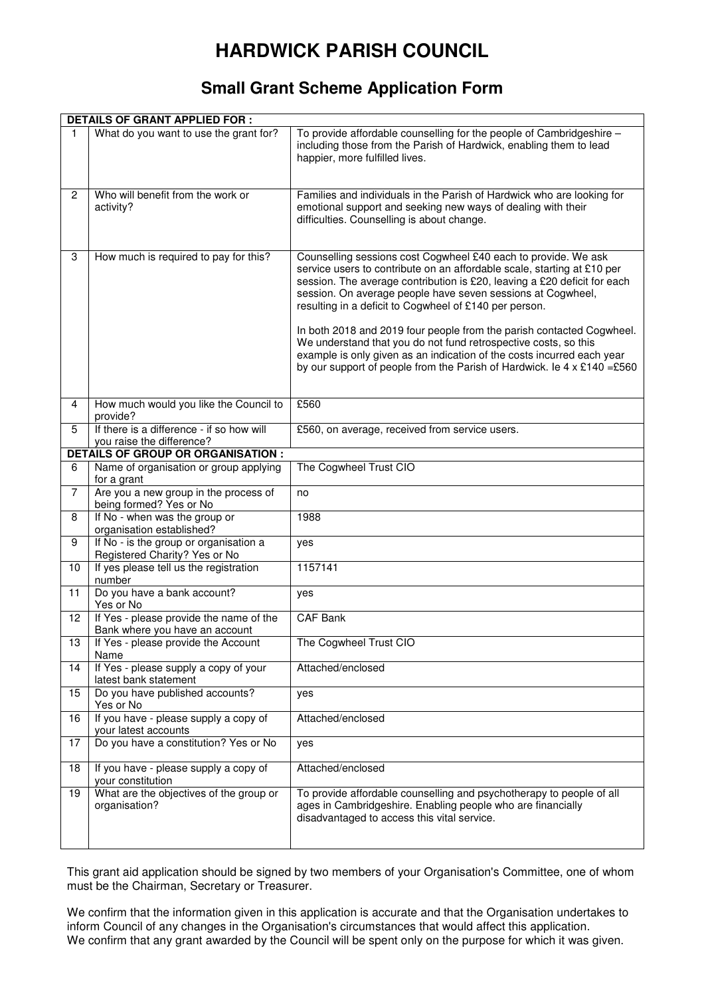# **HARDWICK PARISH COUNCIL**

# **Small Grant Scheme Application Form**

|                | <b>DETAILS OF GRANT APPLIED FOR:</b>                                      |                                                                                                                                                                                                                                                                                                                                                                                                                                                                                                                                                                                                                                                         |  |  |  |
|----------------|---------------------------------------------------------------------------|---------------------------------------------------------------------------------------------------------------------------------------------------------------------------------------------------------------------------------------------------------------------------------------------------------------------------------------------------------------------------------------------------------------------------------------------------------------------------------------------------------------------------------------------------------------------------------------------------------------------------------------------------------|--|--|--|
| 1              | What do you want to use the grant for?                                    | To provide affordable counselling for the people of Cambridgeshire -<br>including those from the Parish of Hardwick, enabling them to lead<br>happier, more fulfilled lives.                                                                                                                                                                                                                                                                                                                                                                                                                                                                            |  |  |  |
| $\overline{2}$ | Who will benefit from the work or<br>activity?                            | Families and individuals in the Parish of Hardwick who are looking for<br>emotional support and seeking new ways of dealing with their<br>difficulties. Counselling is about change.                                                                                                                                                                                                                                                                                                                                                                                                                                                                    |  |  |  |
| 3              | How much is required to pay for this?                                     | Counselling sessions cost Cogwheel £40 each to provide. We ask<br>service users to contribute on an affordable scale, starting at £10 per<br>session. The average contribution is £20, leaving a £20 deficit for each<br>session. On average people have seven sessions at Cogwheel,<br>resulting in a deficit to Cogwheel of £140 per person.<br>In both 2018 and 2019 four people from the parish contacted Cogwheel.<br>We understand that you do not fund retrospective costs, so this<br>example is only given as an indication of the costs incurred each year<br>by our support of people from the Parish of Hardwick. le $4 \times £140 = £560$ |  |  |  |
| 4              | How much would you like the Council to<br>provide?                        | £560                                                                                                                                                                                                                                                                                                                                                                                                                                                                                                                                                                                                                                                    |  |  |  |
| 5              | If there is a difference - if so how will<br>you raise the difference?    | £560, on average, received from service users.                                                                                                                                                                                                                                                                                                                                                                                                                                                                                                                                                                                                          |  |  |  |
|                | <b>DETAILS OF GROUP OR ORGANISATION :</b>                                 |                                                                                                                                                                                                                                                                                                                                                                                                                                                                                                                                                                                                                                                         |  |  |  |
| 6              | Name of organisation or group applying<br>for a grant                     | The Cogwheel Trust CIO                                                                                                                                                                                                                                                                                                                                                                                                                                                                                                                                                                                                                                  |  |  |  |
| 7              | Are you a new group in the process of<br>being formed? Yes or No          | no                                                                                                                                                                                                                                                                                                                                                                                                                                                                                                                                                                                                                                                      |  |  |  |
| 8              | If No - when was the group or<br>organisation established?                | 1988                                                                                                                                                                                                                                                                                                                                                                                                                                                                                                                                                                                                                                                    |  |  |  |
| 9              | If No - is the group or organisation a<br>Registered Charity? Yes or No   | yes                                                                                                                                                                                                                                                                                                                                                                                                                                                                                                                                                                                                                                                     |  |  |  |
| 10             | If yes please tell us the registration<br>number                          | 1157141                                                                                                                                                                                                                                                                                                                                                                                                                                                                                                                                                                                                                                                 |  |  |  |
| 11             | Do you have a bank account?<br>Yes or No                                  | yes                                                                                                                                                                                                                                                                                                                                                                                                                                                                                                                                                                                                                                                     |  |  |  |
| 12             | If Yes - please provide the name of the<br>Bank where you have an account | <b>CAF Bank</b>                                                                                                                                                                                                                                                                                                                                                                                                                                                                                                                                                                                                                                         |  |  |  |
| 13             | If Yes - please provide the Account<br>Name                               | The Cogwheel Trust CIO                                                                                                                                                                                                                                                                                                                                                                                                                                                                                                                                                                                                                                  |  |  |  |
| 14             | If Yes - please supply a copy of your<br>latest bank statement            | Attached/enclosed                                                                                                                                                                                                                                                                                                                                                                                                                                                                                                                                                                                                                                       |  |  |  |
| 15             | Do you have published accounts?<br>Yes or No                              | yes                                                                                                                                                                                                                                                                                                                                                                                                                                                                                                                                                                                                                                                     |  |  |  |
| 16             | If you have - please supply a copy of<br>your latest accounts             | Attached/enclosed                                                                                                                                                                                                                                                                                                                                                                                                                                                                                                                                                                                                                                       |  |  |  |
| 17             | Do you have a constitution? Yes or No                                     | yes                                                                                                                                                                                                                                                                                                                                                                                                                                                                                                                                                                                                                                                     |  |  |  |
| 18             | If you have - please supply a copy of<br>your constitution                | Attached/enclosed                                                                                                                                                                                                                                                                                                                                                                                                                                                                                                                                                                                                                                       |  |  |  |
| 19             | What are the objectives of the group or<br>organisation?                  | To provide affordable counselling and psychotherapy to people of all<br>ages in Cambridgeshire. Enabling people who are financially<br>disadvantaged to access this vital service.                                                                                                                                                                                                                                                                                                                                                                                                                                                                      |  |  |  |

This grant aid application should be signed by two members of your Organisation's Committee, one of whom must be the Chairman, Secretary or Treasurer.

We confirm that the information given in this application is accurate and that the Organisation undertakes to inform Council of any changes in the Organisation's circumstances that would affect this application. We confirm that any grant awarded by the Council will be spent only on the purpose for which it was given.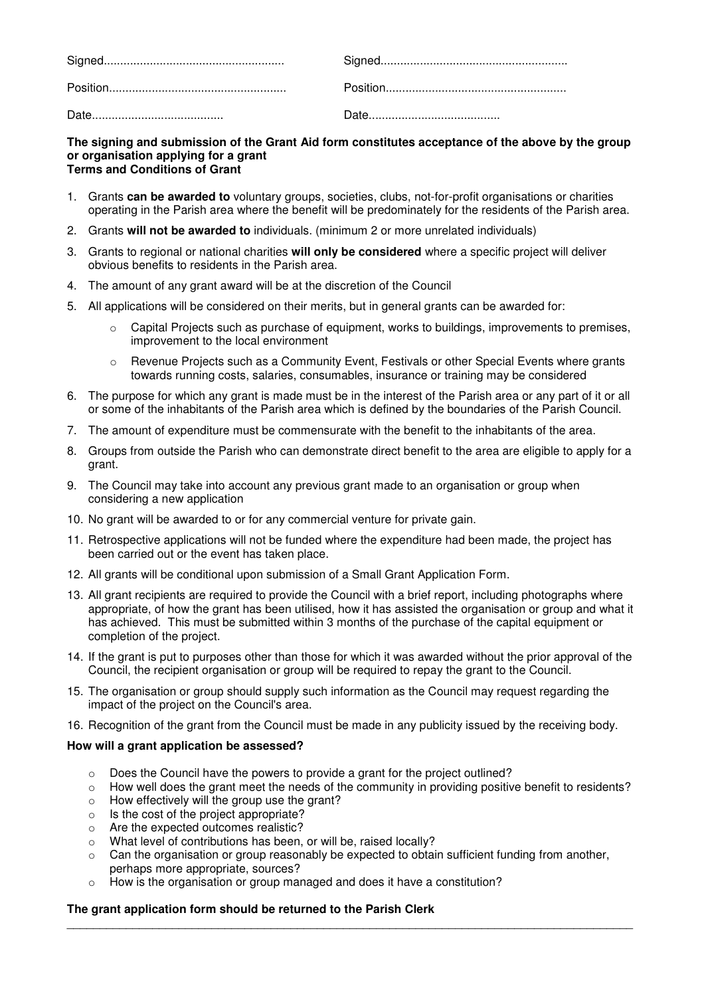#### **The signing and submission of the Grant Aid form constitutes acceptance of the above by the group or organisation applying for a grant Terms and Conditions of Grant**

- 1. Grants **can be awarded to** voluntary groups, societies, clubs, not-for-profit organisations or charities operating in the Parish area where the benefit will be predominately for the residents of the Parish area.
- 2. Grants **will not be awarded to** individuals. (minimum 2 or more unrelated individuals)
- 3. Grants to regional or national charities **will only be considered** where a specific project will deliver obvious benefits to residents in the Parish area.
- 4. The amount of any grant award will be at the discretion of the Council
- 5. All applications will be considered on their merits, but in general grants can be awarded for:
	- Capital Projects such as purchase of equipment, works to buildings, improvements to premises, improvement to the local environment
	- Revenue Projects such as a Community Event, Festivals or other Special Events where grants towards running costs, salaries, consumables, insurance or training may be considered
- 6. The purpose for which any grant is made must be in the interest of the Parish area or any part of it or all or some of the inhabitants of the Parish area which is defined by the boundaries of the Parish Council.
- 7. The amount of expenditure must be commensurate with the benefit to the inhabitants of the area.
- 8. Groups from outside the Parish who can demonstrate direct benefit to the area are eligible to apply for a grant.
- 9. The Council may take into account any previous grant made to an organisation or group when considering a new application
- 10. No grant will be awarded to or for any commercial venture for private gain.
- 11. Retrospective applications will not be funded where the expenditure had been made, the project has been carried out or the event has taken place.
- 12. All grants will be conditional upon submission of a Small Grant Application Form.
- 13. All grant recipients are required to provide the Council with a brief report, including photographs where appropriate, of how the grant has been utilised, how it has assisted the organisation or group and what it has achieved. This must be submitted within 3 months of the purchase of the capital equipment or completion of the project.
- 14. If the grant is put to purposes other than those for which it was awarded without the prior approval of the Council, the recipient organisation or group will be required to repay the grant to the Council.
- 15. The organisation or group should supply such information as the Council may request regarding the impact of the project on the Council's area.
- 16. Recognition of the grant from the Council must be made in any publicity issued by the receiving body.

#### **How will a grant application be assessed?**

- $\circ$  Does the Council have the powers to provide a grant for the project outlined?
- $\circ$  How well does the grant meet the needs of the community in providing positive benefit to residents?
- o How effectively will the group use the grant?
- o Is the cost of the project appropriate?
- o Are the expected outcomes realistic?
- o What level of contributions has been, or will be, raised locally?
- $\circ$  Can the organisation or group reasonably be expected to obtain sufficient funding from another, perhaps more appropriate, sources?

\_\_\_\_\_\_\_\_\_\_\_\_\_\_\_\_\_\_\_\_\_\_\_\_\_\_\_\_\_\_\_\_\_\_\_\_\_\_\_\_\_\_\_\_\_\_\_\_\_\_\_\_\_\_\_\_\_\_\_\_\_\_\_\_\_\_\_\_\_\_\_\_\_\_\_\_\_\_\_\_\_\_\_\_\_\_

o How is the organisation or group managed and does it have a constitution?

#### **The grant application form should be returned to the Parish Clerk**